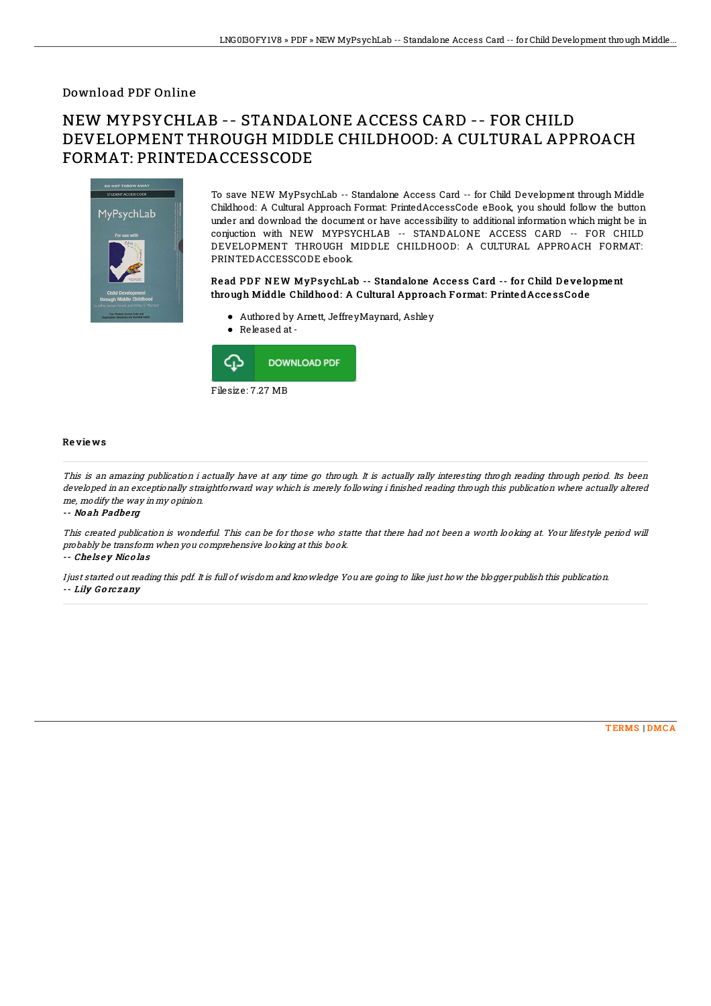### Download PDF Online

# NEW MYPSYCHLAB -- STANDALONE ACCESS CARD -- FOR CHILD DEVELOPMENT THROUGH MIDDLE CHILDHOOD: A CULTURAL APPROACH FORMAT: PRINTEDACCESSCODE



To save NEW MyPsychLab -- Standalone Access Card -- for Child Development through Middle Childhood: A Cultural Approach Format: PrintedAccessCode eBook, you should follow the button under and download the document or have accessibility to additional information which might be in conjuction with NEW MYPSYCHLAB -- STANDALONE ACCESS CARD -- FOR CHILD DEVELOPMENT THROUGH MIDDLE CHILDHOOD: A CULTURAL APPROACH FORMAT: PRINTEDACCESSCODE ebook.

#### Read PDF NEW MyPsychLab -- Standalone Access Card -- for Child Development through Middle Childhood: A Cultural Approach Format: PrintedAccessCode

- Authored by Arnett, JeffreyMaynard, Ashley
- Released at-



#### Re vie ws

This is an amazing publication i actually have at any time go through. It is actually rally interesting throgh reading through period. Its been developed in an exceptionally straightforward way which is merely following i finished reading through this publication where actually altered me, modify the way in my opinion.

-- No ah Padberg

This created publication is wonderful. This can be for those who statte that there had not been <sup>a</sup> worth looking at. Your lifestyle period will probably be transform when you comprehensive looking at this book.

-- Che ls <sup>e</sup> y Nic <sup>o</sup> las

I just started out reading this pdf. It is full of wisdom and knowledge You are going to like just how the blogger publish this publication. -- Lily G <sup>o</sup> rc <sup>z</sup> any